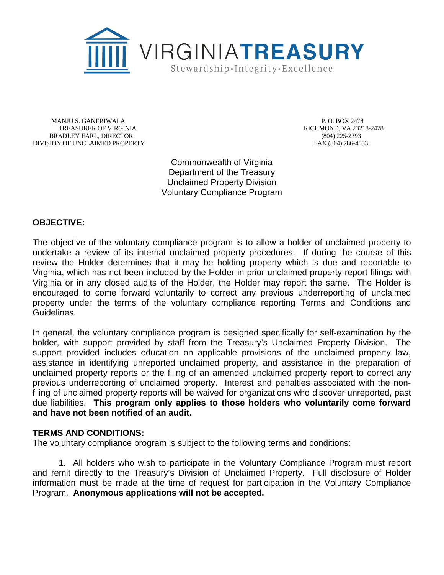

 MANJU S. GANERIWALA TREASURER OF VIRGINIA BRADLEY EARL, DIRECTOR DIVISION OF UNCLAIMED PROPERTY **FAX** (804) 786-4653

 P. O. BOX 2478 RICHMOND, VA 23218-2478 (804) 225-2393

Commonwealth of Virginia Department of the Treasury Unclaimed Property Division Voluntary Compliance Program

## **OBJECTIVE:**

The objective of the voluntary compliance program is to allow a holder of unclaimed property to undertake a review of its internal unclaimed property procedures. If during the course of this review the Holder determines that it may be holding property which is due and reportable to Virginia, which has not been included by the Holder in prior unclaimed property report filings with Virginia or in any closed audits of the Holder, the Holder may report the same. The Holder is encouraged to come forward voluntarily to correct any previous underreporting of unclaimed property under the terms of the voluntary compliance reporting Terms and Conditions and Guidelines.

In general, the voluntary compliance program is designed specifically for self-examination by the holder, with support provided by staff from the Treasury's Unclaimed Property Division. The support provided includes education on applicable provisions of the unclaimed property law, assistance in identifying unreported unclaimed property, and assistance in the preparation of unclaimed property reports or the filing of an amended unclaimed property report to correct any previous underreporting of unclaimed property. Interest and penalties associated with the nonfiling of unclaimed property reports will be waived for organizations who discover unreported, past due liabilities. **This program only applies to those holders who voluntarily come forward and have not been notified of an audit.**

## **TERMS AND CONDITIONS:**

The voluntary compliance program is subject to the following terms and conditions:

1. All holders who wish to participate in the Voluntary Compliance Program must report and remit directly to the Treasury's Division of Unclaimed Property. Full disclosure of Holder information must be made at the time of request for participation in the Voluntary Compliance Program. **Anonymous applications will not be accepted.**